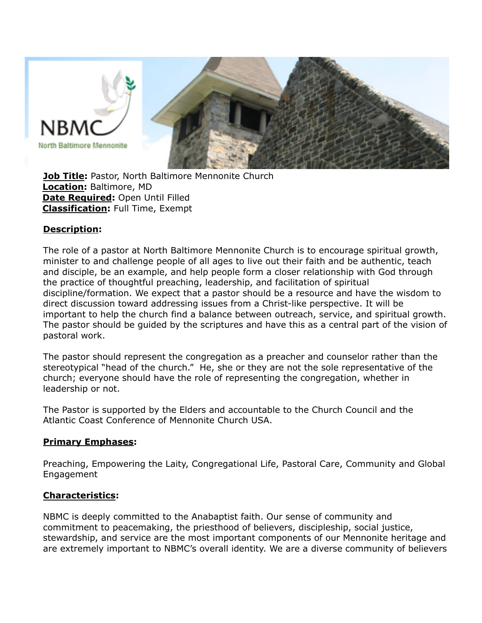

**Job Title:** Pastor, North Baltimore Mennonite Church **Location:** Baltimore, MD **Date Required:** Open Until Filled **Classification:** Full Time, Exempt

#### **Description:**

The role of a pastor at North Baltimore Mennonite Church is to encourage spiritual growth, minister to and challenge people of all ages to live out their faith and be authentic, teach and disciple, be an example, and help people form a closer relationship with God through the practice of thoughtful preaching, leadership, and facilitation of spiritual discipline/formation. We expect that a pastor should be a resource and have the wisdom to direct discussion toward addressing issues from a Christ-like perspective. It will be important to help the church find a balance between outreach, service, and spiritual growth. The pastor should be guided by the scriptures and have this as a central part of the vision of pastoral work.

The pastor should represent the congregation as a preacher and counselor rather than the stereotypical "head of the church." He, she or they are not the sole representative of the church; everyone should have the role of representing the congregation, whether in leadership or not.

The Pastor is supported by the Elders and accountable to the Church Council and the Atlantic Coast Conference of Mennonite Church USA.

#### **Primary Emphases:**

Preaching, Empowering the Laity, Congregational Life, Pastoral Care, Community and Global Engagement

#### **Characteristics:**

NBMC is deeply committed to the Anabaptist faith. Our sense of community and commitment to peacemaking, the priesthood of believers, discipleship, social justice, stewardship, and service are the most important components of our Mennonite heritage and are extremely important to NBMC's overall identity. We are a diverse community of believers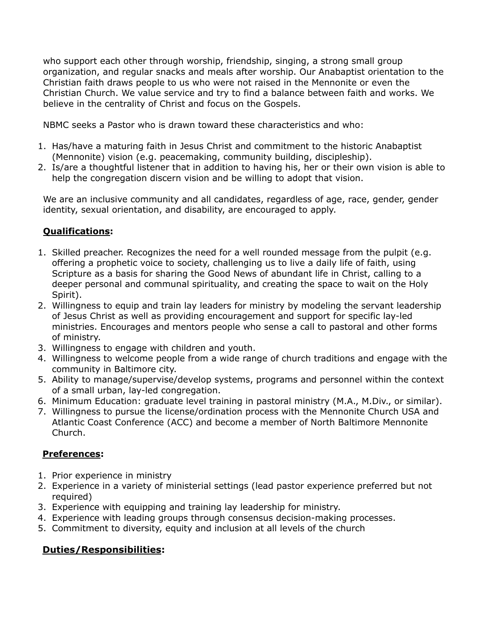who support each other through worship, friendship, singing, a strong small group organization, and regular snacks and meals after worship. Our Anabaptist orientation to the Christian faith draws people to us who were not raised in the Mennonite or even the Christian Church. We value service and try to find a balance between faith and works. We believe in the centrality of Christ and focus on the Gospels.

NBMC seeks a Pastor who is drawn toward these characteristics and who:

- 1. Has/have a maturing faith in Jesus Christ and commitment to the historic Anabaptist (Mennonite) vision (e.g. peacemaking, community building, discipleship).
- 2. Is/are a thoughtful listener that in addition to having his, her or their own vision is able to help the congregation discern vision and be willing to adopt that vision.

We are an inclusive community and all candidates, regardless of age, race, gender, gender identity, sexual orientation, and disability, are encouraged to apply.

# **Qualifications:**

- 1. Skilled preacher. Recognizes the need for a well rounded message from the pulpit (e.g. offering a prophetic voice to society, challenging us to live a daily life of faith, using Scripture as a basis for sharing the Good News of abundant life in Christ, calling to a deeper personal and communal spirituality, and creating the space to wait on the Holy Spirit).
- 2. Willingness to equip and train lay leaders for ministry by modeling the servant leadership of Jesus Christ as well as providing encouragement and support for specific lay-led ministries. Encourages and mentors people who sense a call to pastoral and other forms of ministry.
- 3. Willingness to engage with children and youth.
- 4. Willingness to welcome people from a wide range of church traditions and engage with the community in Baltimore city.
- 5. Ability to manage/supervise/develop systems, programs and personnel within the context of a small urban, lay-led congregation.
- 6. Minimum Education: graduate level training in pastoral ministry (M.A., M.Div., or similar).
- 7. Willingness to pursue the license/ordination process with the Mennonite Church USA and Atlantic Coast Conference (ACC) and become a member of North Baltimore Mennonite Church.

# **Preferences:**

- 1. Prior experience in ministry
- 2. Experience in a variety of ministerial settings (lead pastor experience preferred but not required)
- 3. Experience with equipping and training lay leadership for ministry.
- 4. Experience with leading groups through consensus decision-making processes.
- 5. Commitment to diversity, equity and inclusion at all levels of the church

# **Duties/Responsibilities:**